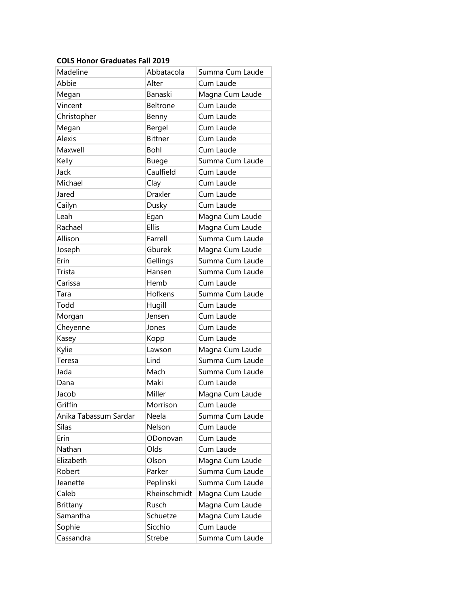## **COLS Honor Graduates Fall 2019**

| Madeline              | Abbatacola      | Summa Cum Laude |
|-----------------------|-----------------|-----------------|
| Abbie                 | Alter           | Cum Laude       |
| Megan                 | Banaski         | Magna Cum Laude |
| Vincent               | <b>Beltrone</b> | Cum Laude       |
| Christopher           | Benny           | Cum Laude       |
| Megan                 | Bergel          | Cum Laude       |
| <b>Alexis</b>         | <b>Bittner</b>  | Cum Laude       |
| Maxwell               | Bohl            | Cum Laude       |
| Kelly                 | Buege           | Summa Cum Laude |
| Jack                  | Caulfield       | Cum Laude       |
| Michael               | Clay            | Cum Laude       |
| Jared                 | <b>Draxler</b>  | Cum Laude       |
| Cailyn                | Dusky           | Cum Laude       |
| Leah                  | Egan            | Magna Cum Laude |
| Rachael               | <b>Ellis</b>    | Magna Cum Laude |
| Allison               | Farrell         | Summa Cum Laude |
| Joseph                | Gburek          | Magna Cum Laude |
| Erin                  | Gellings        | Summa Cum Laude |
| Trista                | Hansen          | Summa Cum Laude |
| Carissa               | Hemb            | Cum Laude       |
| Tara                  | Hofkens         | Summa Cum Laude |
| Todd                  | Hugill          | Cum Laude       |
| Morgan                | Jensen          | Cum Laude       |
| Cheyenne              | Jones           | Cum Laude       |
| Kasey                 | Kopp            | Cum Laude       |
| Kylie                 | Lawson          | Magna Cum Laude |
| Teresa                | Lind            | Summa Cum Laude |
| Jada                  | Mach            | Summa Cum Laude |
| Dana                  | Maki            | Cum Laude       |
| Jacob                 | Miller          | Magna Cum Laude |
| Griffin               | Morrison        | Cum Laude       |
| Anika Tabassum Sardar | Neela           | Summa Cum Laude |
| <b>Silas</b>          | Nelson          | Cum Laude       |
| Erin                  | ODonovan        | Cum Laude       |
| Nathan                | Olds            | Cum Laude       |
| Elizabeth             | Olson           | Magna Cum Laude |
| Robert                | Parker          | Summa Cum Laude |
| Jeanette              | Peplinski       | Summa Cum Laude |
| Caleb                 | Rheinschmidt    | Magna Cum Laude |
| Brittany              | Rusch           | Magna Cum Laude |
| Samantha              | Schuetze        | Magna Cum Laude |
| Sophie                | Sicchio         | Cum Laude       |
| Cassandra             | Strebe          | Summa Cum Laude |